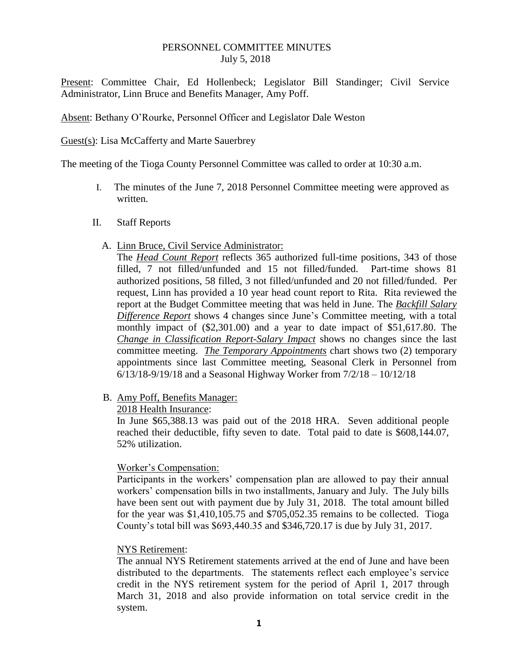#### PERSONNEL COMMITTEE MINUTES July 5, 2018

Present: Committee Chair, Ed Hollenbeck; Legislator Bill Standinger; Civil Service Administrator, Linn Bruce and Benefits Manager, Amy Poff.

Absent: Bethany O'Rourke, Personnel Officer and Legislator Dale Weston

Guest(s): Lisa McCafferty and Marte Sauerbrey

The meeting of the Tioga County Personnel Committee was called to order at 10:30 a.m.

- I. The minutes of the June 7, 2018 Personnel Committee meeting were approved as written.
- II. Staff Reports
	- A. Linn Bruce, Civil Service Administrator:

The *Head Count Report* reflects 365 authorized full-time positions, 343 of those filled, 7 not filled/unfunded and 15 not filled/funded. Part-time shows 81 authorized positions, 58 filled, 3 not filled/unfunded and 20 not filled/funded. Per request, Linn has provided a 10 year head count report to Rita. Rita reviewed the report at the Budget Committee meeting that was held in June. The *Backfill Salary Difference Report* shows 4 changes since June's Committee meeting, with a total monthly impact of (\$2,301.00) and a year to date impact of \$51,617.80. The *Change in Classification Report-Salary Impact* shows no changes since the last committee meeting. *The Temporary Appointments* chart shows two (2) temporary appointments since last Committee meeting, Seasonal Clerk in Personnel from 6/13/18-9/19/18 and a Seasonal Highway Worker from 7/2/18 – 10/12/18

B. Amy Poff, Benefits Manager:

#### 2018 Health Insurance:

In June \$65,388.13 was paid out of the 2018 HRA. Seven additional people reached their deductible, fifty seven to date. Total paid to date is \$608,144.07, 52% utilization.

## Worker's Compensation:

Participants in the workers' compensation plan are allowed to pay their annual workers' compensation bills in two installments, January and July. The July bills have been sent out with payment due by July 31, 2018. The total amount billed for the year was \$1,410,105.75 and \$705,052.35 remains to be collected. Tioga County's total bill was \$693,440.35 and \$346,720.17 is due by July 31, 2017.

## NYS Retirement:

The annual NYS Retirement statements arrived at the end of June and have been distributed to the departments. The statements reflect each employee's service credit in the NYS retirement system for the period of April 1, 2017 through March 31, 2018 and also provide information on total service credit in the system.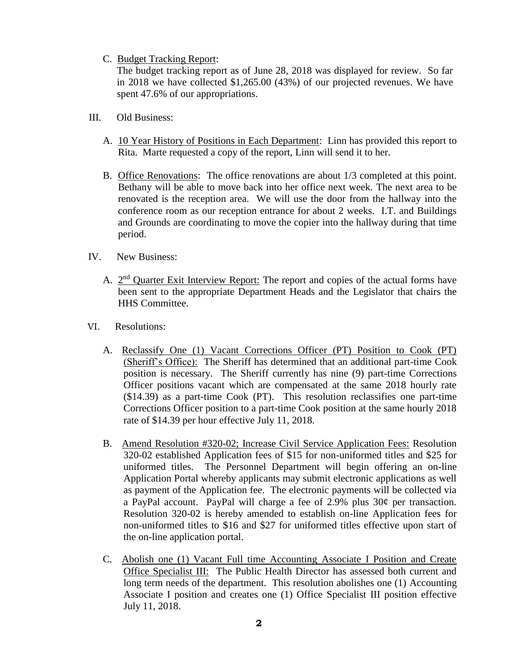# C. Budget Tracking Report:

The budget tracking report as of June 28, 2018 was displayed for review. So far in 2018 we have collected \$1,265.00 (43%) of our projected revenues. We have spent 47.6% of our appropriations.

- III. Old Business:
	- A. 10 Year History of Positions in Each Department: Linn has provided this report to Rita. Marte requested a copy of the report, Linn will send it to her.
	- B. Office Renovations: The office renovations are about 1/3 completed at this point. Bethany will be able to move back into her office next week. The next area to be renovated is the reception area. We will use the door from the hallway into the conference room as our reception entrance for about 2 weeks. I.T. and Buildings and Grounds are coordinating to move the copier into the hallway during that time period.
- IV. New Business:
	- A. 2<sup>nd</sup> Quarter Exit Interview Report: The report and copies of the actual forms have been sent to the appropriate Department Heads and the Legislator that chairs the HHS Committee.
- VI. Resolutions:
	- A. Reclassify One (1) Vacant Corrections Officer (PT) Position to Cook (PT) (Sheriff's Office): The Sheriff has determined that an additional part-time Cook position is necessary. The Sheriff currently has nine (9) part-time Corrections Officer positions vacant which are compensated at the same 2018 hourly rate (\$14.39) as a part-time Cook (PT). This resolution reclassifies one part-time Corrections Officer position to a part-time Cook position at the same hourly 2018 rate of \$14.39 per hour effective July 11, 2018.
	- B. Amend Resolution #320-02; Increase Civil Service Application Fees: Resolution 320-02 established Application fees of \$15 for non-uniformed titles and \$25 for uniformed titles. The Personnel Department will begin offering an on-line Application Portal whereby applicants may submit electronic applications as well as payment of the Application fee. The electronic payments will be collected via a PayPal account. PayPal will charge a fee of 2.9% plus 30¢ per transaction. Resolution 320-02 is hereby amended to establish on-line Application fees for non-uniformed titles to \$16 and \$27 for uniformed titles effective upon start of the on-line application portal.
	- C. Abolish one (1) Vacant Full time Accounting Associate I Position and Create Office Specialist III: The Public Health Director has assessed both current and long term needs of the department. This resolution abolishes one (1) Accounting Associate I position and creates one (1) Office Specialist III position effective July 11, 2018.